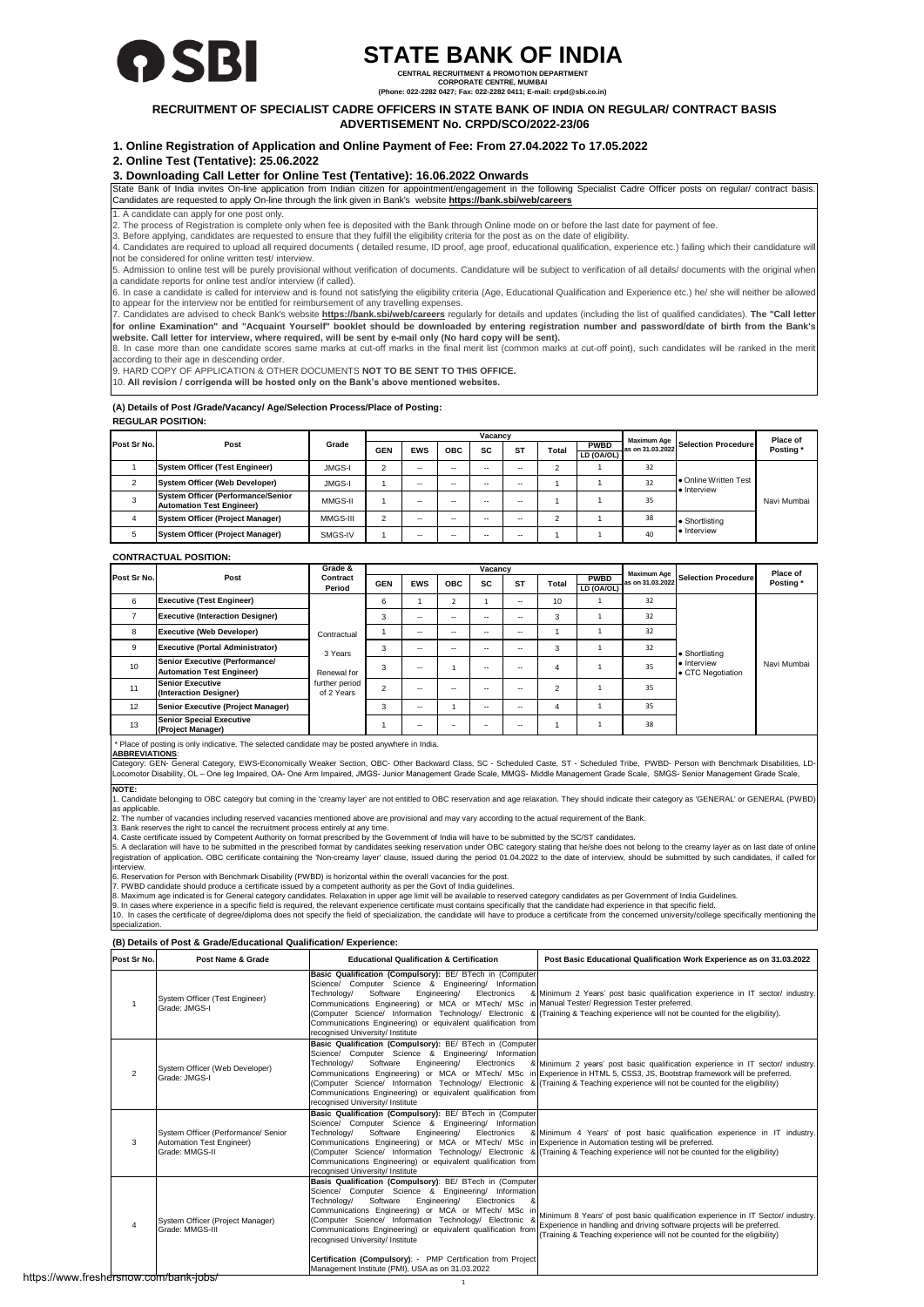

# **STATE BANK OF INDIA**

**CENTRAL RECRUITMENT & PROMOTION DEPARTMENT CORPORATE CENTRE, MUMBAI**

**(Phone: 022-2282 0427; Fax: 022-2282 0411; E-mail: crpd@sbi.co.in)**

## **RECRUITMENT OF SPECIALIST CADRE OFFICERS IN STATE BANK OF INDIA ON REGULAR/ CONTRACT BASIS ADVERTISEMENT No. CRPD/SCO/2022-23/06**

**1. Online Registration of Application and Online Payment of Fee: From 27.04.2022 To 17.05.2022**

**2. Online Test (Tentative): 25.06.2022** 

# **3. Downloading Call Letter for Online Test (Tentative): 16.06.2022 Onwards**

State Bank of India invites On-line application from Indian citizen for appointment/engagement in the following Specialist Cadre Officer posts on regular/ contract basis. Candidates are requested to apply On-line through the link given in Bank's website **https://bank.sbi/web/careers**

1. A candidate can apply for one post only.

2. The process of Registration is complete only when fee is deposited with the Bank through Online mode on or before the last date for payment of fee.

3. Before applying, candidates are requested to ensure that they fulfill the eligibility criteria for the post as on the date of eligibility.

4. Candidates are required to upload all required documents ( detailed resume, ID proof, age proof, educational qualification, experience etc.) failing which their candidature will not be considered for online written test/ interview.

5. Admission to online test will be purely provisional without verification of documents. Candidature will be subject to verification of all details/ documents with the original when a candidate reports for online test and/or interview (if called).

6. In case a candidate is called for interview and is found not satisfying the eligibility criteria (Age, Educational Qualification and Experience etc.) he/ she will neither be allowed

to appear for the interview nor be entitled for reimbursement of any travelling expenses.<br>7. Candidates are advised to check Bank's website <u>https:**//bank.sbi/web/careers**</u> regularly for details and updates (including the for online Examination" and "Acquaint Yourself" booklet should be downloaded by entering registration number and password/date of birth from the Bank's

website. Call letter for interview, where required, will be sent by e-mail only (No hard copy will be sent).<br>8. In case more than one candidate scores same marks at cut-off marks in the final merit list (common marks at cu according to their age in descending order. 9. HARD COPY OF APPLICATION & OTHER DOCUMENTS **NOT TO BE SENT TO THIS OFFICE.**

10. **All revision / corrigenda will be hosted only on the Bank's above mentioned websites.**

### **REGULAR POSITION: (A) Details of Post /Grade/Vacancy/ Age/Selection Process/Place of Posting:**

|             | Post                                                                          | Grade         | Vacancv    |            |     |           |           |       | Maximum Age               |                  | Place of                           |             |
|-------------|-------------------------------------------------------------------------------|---------------|------------|------------|-----|-----------|-----------|-------|---------------------------|------------------|------------------------------------|-------------|
| Post Sr No. |                                                                               |               | <b>GEN</b> | <b>EWS</b> | ОВС | <b>SC</b> | <b>ST</b> | Total | <b>PWBD</b><br>LD (OA/OL) | as on 31.03.2022 | Selection Procedure                | Posting*    |
|             |                                                                               |               |            |            |     |           |           |       |                           |                  |                                    |             |
|             | <b>System Officer (Test Engineer)</b>                                         | <b>JMGS-I</b> |            | $-$        | --  | --        |           |       |                           | 32               |                                    |             |
|             | <b>System Officer (Web Developer)</b>                                         | <b>JMGS-I</b> |            | $\sim$     | --  | --        | --        |       |                           | 32               | • Online Written Test<br>Interview |             |
| 3           | <b>System Officer (Performance/Senior</b><br><b>Automation Test Engineer)</b> | MMGS-II       |            | $-$        | --  |           |           |       |                           | 35               |                                    | Navi Mumbai |
|             | <b>System Officer (Project Manager)</b>                                       | MMGS-III      |            | $\sim$     | --  | --        | --        |       |                           | 38               | • Shortlisting                     |             |
| 5           | <b>System Officer (Project Manager)</b>                                       | SMGS-IV       |            | $-$        | --  |           |           |       |                           | 40               | · Interview                        |             |

## **CONTRACTUAL POSITION:**

|             |                                                                           | Grade &                      |                |            |            | Vacancy   |           |        |                           | Maximum Age      |                                  | Place of    |
|-------------|---------------------------------------------------------------------------|------------------------------|----------------|------------|------------|-----------|-----------|--------|---------------------------|------------------|----------------------------------|-------------|
| Post Sr No. | Post                                                                      | Contract<br>Period           | <b>GEN</b>     | <b>EWS</b> | <b>OBC</b> | <b>SC</b> | <b>ST</b> | Total  | <b>PWBD</b><br>LD (OA/OL) | as on 31.03.2022 | <b>Selection Procedure</b>       | Posting*    |
| 6           | <b>Executive (Test Engineer)</b>                                          |                              | 6              |            | ∠          |           | --        | 10     |                           | 32               |                                  |             |
|             | <b>Executive (Interaction Designer)</b>                                   |                              | 3              | --         | --         | --        | --        | -5     |                           | 32               |                                  |             |
| 8           | <b>Executive (Web Developer)</b>                                          | Contractual                  |                | $-$        | --         |           | --        |        |                           | 32               |                                  |             |
| 9           | <b>Executive (Portal Administrator)</b>                                   | 3 Years                      | 3              | $-$        | --         |           | --        |        |                           | 32               | • Shortlisting                   |             |
| 10          | <b>Senior Executive (Performance/</b><br><b>Automation Test Engineer)</b> | Renewal for                  | 3              | --         |            | --        | --        |        |                           | 35               | · Interview<br>• CTC Negotiation | Navi Mumbai |
| 11          | <b>Senior Executive</b><br>(Interaction Designer)                         | further period<br>of 2 Years | $\mathfrak{p}$ | --         | --         |           | --        | $\sim$ |                           | 35               |                                  |             |
| 12          | Senior Executive (Project Manager)                                        |                              | 3              | $-$        |            | --        | --        |        |                           | 35               |                                  |             |
| 13          | <b>Senior Special Executive</b><br>(Project Manager)                      |                              |                | --         | -          |           | --        |        |                           | 38               |                                  |             |

# \* Place of posting is only indicative. The selected candidate may be posted anywhere in India. **ABBREVIATIONS**:

Category: GEN- General Category, EWS-Economically Weaker Section, OBC- Other Backward Class, SC - Scheduled Caste, ST - Scheduled Tribe, PWBD- Person with Benchmark Disabilities, LD-<br>Locomotor Disability, OL – One leg Impa

**NOTE:**

1. Candidate belonging to OBC category but coming in the 'creamy layer' are not entitled to OBC reservation and age relaxation. They should indicate their category as 'GENERAL' or GENERAL (PWBD) as applicable.

2. The number of vacancies including reserved vacancies mentioned above are provisional and may vary according to the actual requirement of the Bank.<br>3. Bank reserves the right to cancel the recruitment process entirely at

5. A declaration will have to be submitted in the prescribed format by candidates seeking reservation under OBC category stating that he/she does not belong to the creamy layer as on last date of online<br>registration of app

6. Reservation for Person with Benchmark Disability (PWBD) is horizontal within the overall vacancies for the post.

7. PWBD candidate should produce a certificate issued by a competent authority as per the Govt of India guidelines.<br>8. Maximum age indicated is for General category candidates. Relaxation in upper age limit will be availab cialization

# **(B) Details of Post & Grade/Educational Qualification/ Experience:**

| Post Sr No.    | Post Name & Grade                                                                  | <b>Educational Qualification &amp; Certification</b>                                                                                                                                                                                                                                                                                                                                                                                                                  | Post Basic Educational Qualification Work Experience as on 31.03.2022                                                                                                                                                                                                                                                                            |  |  |
|----------------|------------------------------------------------------------------------------------|-----------------------------------------------------------------------------------------------------------------------------------------------------------------------------------------------------------------------------------------------------------------------------------------------------------------------------------------------------------------------------------------------------------------------------------------------------------------------|--------------------------------------------------------------------------------------------------------------------------------------------------------------------------------------------------------------------------------------------------------------------------------------------------------------------------------------------------|--|--|
|                | System Officer (Test Engineer)<br>Grade: JMGS-I                                    | Basic Qualification (Compulsory): BE/ BTech in (Computer<br>Science/ Computer Science & Engineering/ Information<br>Engineering/<br>Electronics<br>Technology/<br>Software<br>Communications Engineering) or MCA or MTech/ MSc in Manual Tester/ Regression Tester preferred.<br>Communications Engineering) or equivalent qualification from<br>recognised University/ Institute                                                                                     | & Minimum 2 Years' post basic qualification experience in IT sector/ industry.<br>(Computer Science/ Information Technology/ Electronic & (Training & Teaching experience will not be counted for the eligibility).                                                                                                                              |  |  |
| $\overline{2}$ | System Officer (Web Developer)<br>Grade: JMGS-I                                    | Basic Qualification (Compulsory): BE/ BTech in (Computer<br>Science/ Computer Science & Engineering/ Information<br>Software<br>Engineering/<br>Technology/<br>Electronics<br>Communications Engineering) or equivalent qualification from<br>recognised University/ Institute                                                                                                                                                                                        | & Minimum 2 years' post basic qualification experience in IT sector/ industry.<br>Communications Engineering) or MCA or MTech/ MSc in Experience in HTML 5, CSS3, JS, Bootstrap framework will be preferred.<br>(Computer Science/ Information Technology/ Electronic & (Training & Teaching experience will not be counted for the eligibility) |  |  |
| 3              | System Officer (Performance/ Senior<br>Automation Test Engineer)<br>Grade: MMGS-II | Basic Qualification (Compulsory): BE/ BTech in (Computer<br>Science/ Computer Science & Engineering/ Information<br>Software<br>Engineering/<br>Electronics<br>Technology/<br>Communications Engineering) or MCA or MTech/MSc in Experience in Automation testing will be preferred.<br>Communications Engineering) or equivalent qualification from<br>recognised University/ Institute                                                                              | & Minimum 4 Years' of post basic qualification experience in IT industry.<br>(Computer Science/ Information Technology/ Electronic & (Training & Teaching experience will not be counted for the eligibility)                                                                                                                                    |  |  |
| $\overline{4}$ | System Officer (Project Manager)<br>Grade: MMGS-III                                | Basis Qualification (Compulsory): BE/ BTech in (Computer<br>Science/ Computer Science & Engineering/ Information<br>Engineering/<br>Software<br>Technology/<br>Electronics<br>&<br>Communications Engineering) or MCA or MTech/ MSc in<br>(Computer Science/ Information Technology/ Electronic &<br>Communications Engineering) or equivalent qualification from<br>recognised University/ Institute<br>Certification (Compulsory): - PMP Certification from Project | Minimum 8 Years' of post basic qualification experience in IT Sector/ industry.<br>Experience in handling and driving software projects will be preferred.<br>(Training & Teaching experience will not be counted for the eligibility)                                                                                                           |  |  |
|                |                                                                                    | Management Institute (PMI), USA as on 31.03.2022                                                                                                                                                                                                                                                                                                                                                                                                                      |                                                                                                                                                                                                                                                                                                                                                  |  |  |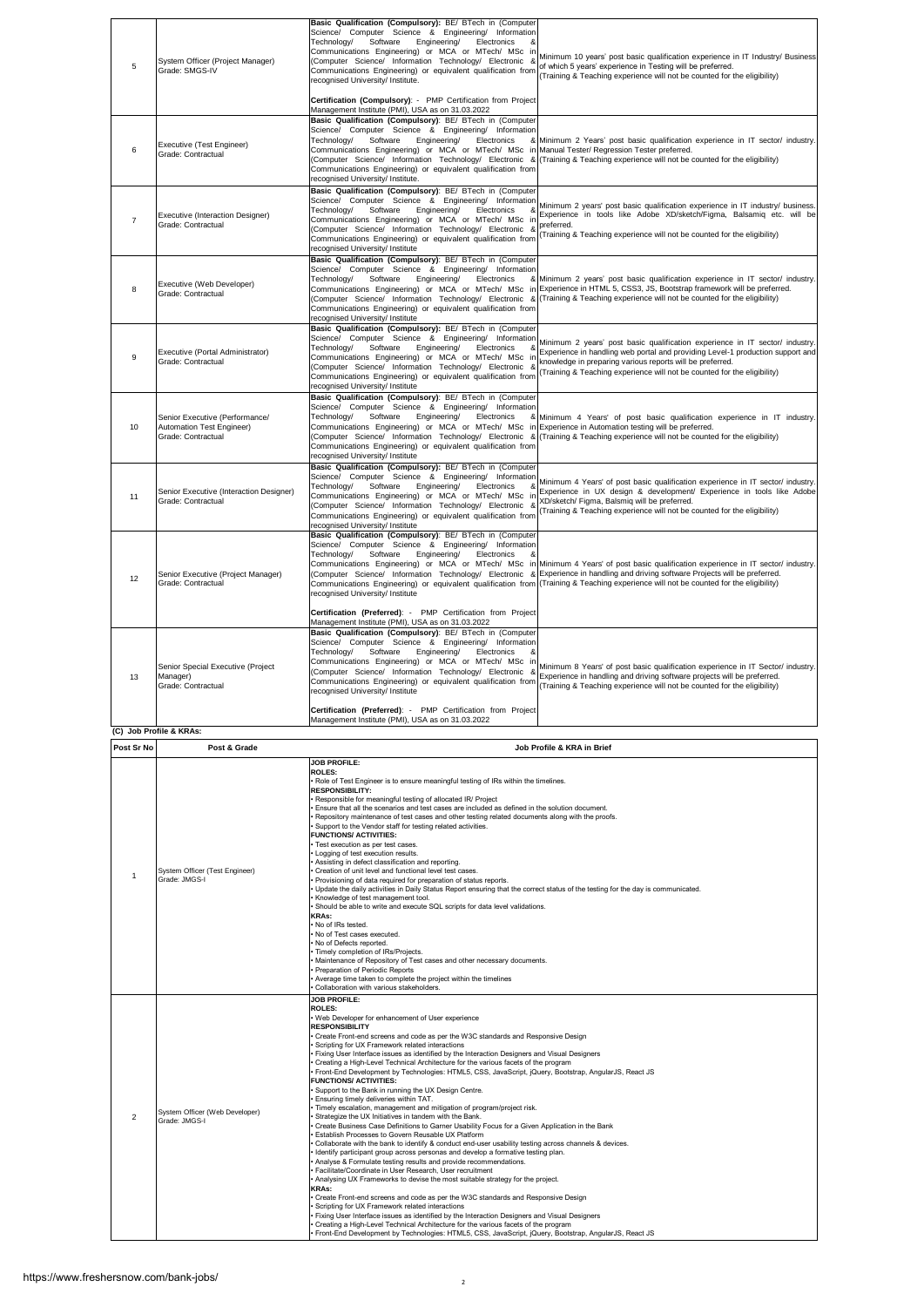| 5              | System Officer (Project Manager)<br>Grade: SMGS-IV                                | Basic Qualification (Compulsory): BE/ BTech in (Computer<br>Science/ Computer Science & Engineering/ Information<br>Technology/<br>Software<br>Engineering/<br>Electronics<br>Communications Engineering) or MCA or MTech/ MSc in<br>(Computer Science/ Information Technology/ Electronic &<br>Communications Engineering) or equivalent qualification from<br>recognised University/ Institute.                                                                                                                                                                                                                                                                                                                                                                                                                                                                                                                                                                                                                                                                                                                                                                                                                                                                                                                                                                                                                                                                                                                                                                                                                                                                                                                                                                                                                                                           | Minimum 10 years' post basic qualification experience in IT Industry/ Business<br>of which 5 years' experience in Testing will be preferred.<br>(Training & Teaching experience will not be counted for the eligibility)                                                                                                                                                                                       |  |  |  |
|----------------|-----------------------------------------------------------------------------------|-------------------------------------------------------------------------------------------------------------------------------------------------------------------------------------------------------------------------------------------------------------------------------------------------------------------------------------------------------------------------------------------------------------------------------------------------------------------------------------------------------------------------------------------------------------------------------------------------------------------------------------------------------------------------------------------------------------------------------------------------------------------------------------------------------------------------------------------------------------------------------------------------------------------------------------------------------------------------------------------------------------------------------------------------------------------------------------------------------------------------------------------------------------------------------------------------------------------------------------------------------------------------------------------------------------------------------------------------------------------------------------------------------------------------------------------------------------------------------------------------------------------------------------------------------------------------------------------------------------------------------------------------------------------------------------------------------------------------------------------------------------------------------------------------------------------------------------------------------------|----------------------------------------------------------------------------------------------------------------------------------------------------------------------------------------------------------------------------------------------------------------------------------------------------------------------------------------------------------------------------------------------------------------|--|--|--|
| 6              | Executive (Test Engineer)<br>Grade: Contractual                                   | Certification (Compulsory): - PMP Certification from Project<br>Management Institute (PMI), USA as on 31.03.2022<br>Basic Qualification (Compulsory): BE/ BTech in (Computer<br>Science/ Computer Science & Engineering/ Information<br>Electronics<br>Technology/<br>Software<br>Engineering/<br>Communications Engineering) or MCA or MTech/ MSc in Manual Tester/ Regression Tester preferred.<br>Communications Engineering) or equivalent qualification from<br>recognised University/ Institute.                                                                                                                                                                                                                                                                                                                                                                                                                                                                                                                                                                                                                                                                                                                                                                                                                                                                                                                                                                                                                                                                                                                                                                                                                                                                                                                                                      | & Minimum 2 Years' post basic qualification experience in IT sector/ industry.<br>(Computer Science/ Information Technology/ Electronic & (Training & Teaching experience will not be counted for the eligibility)                                                                                                                                                                                             |  |  |  |
| $\overline{7}$ | Executive (Interaction Designer)<br>Grade: Contractual                            | Basic Qualification (Compulsory): BE/ BTech in (Computer<br>Science/ Computer Science & Engineering/ Information<br>Technology/<br>Software<br>Engineering/<br>Electronics<br>&<br>Communications Engineering) or MCA or MTech/ MSc in<br>(Computer Science/ Information Technology/ Electronic<br>&<br>Communications Engineering) or equivalent qualification from<br>recognised University/ Institute                                                                                                                                                                                                                                                                                                                                                                                                                                                                                                                                                                                                                                                                                                                                                                                                                                                                                                                                                                                                                                                                                                                                                                                                                                                                                                                                                                                                                                                    | Minimum 2 years' post basic qualification experience in IT industry/ business.<br>Experience in tools like Adobe XD/sketch/Figma, Balsamiq etc. will be<br>preferred.<br>Training & Teaching experience will not be counted for the eligibility)                                                                                                                                                               |  |  |  |
| 8              | Executive (Web Developer)<br>Grade: Contractual                                   | Basic Qualification (Compulsory): BE/ BTech in (Computer<br>Science/ Computer Science & Engineering/ Information<br>Technology/<br>Software<br>Engineering/<br>Electronics<br>Communications Engineering) or equivalent qualification from<br>recognised University/ Institute                                                                                                                                                                                                                                                                                                                                                                                                                                                                                                                                                                                                                                                                                                                                                                                                                                                                                                                                                                                                                                                                                                                                                                                                                                                                                                                                                                                                                                                                                                                                                                              | & Minimum 2 years' post basic qualification experience in IT sector/ industry.<br>Communications Engineering) or MCA or MTech/ MSc in Experience in HTML 5, CSS3, JS, Bootstrap framework will be preferred.<br>(Computer Science/ Information Technology/ Electronic & Training & Teaching experience will not be counted for the eligibility)                                                                |  |  |  |
| 9              | Executive (Portal Administrator)<br>Grade: Contractual                            | Basic Qualification (Compulsory): BE/ BTech in (Computer<br>Science/ Computer Science & Engineering/ Information<br>Engineering/<br>Technology/<br>Software<br>Electronics<br>Communications Engineering) or MCA or MTech/ MSc in<br>(Computer Science/ Information Technology/ Electronic &<br>Communications Engineering) or equivalent qualification from<br>recognised University/ Institute                                                                                                                                                                                                                                                                                                                                                                                                                                                                                                                                                                                                                                                                                                                                                                                                                                                                                                                                                                                                                                                                                                                                                                                                                                                                                                                                                                                                                                                            | Minimum 2 years' post basic qualification experience in IT sector/ industry.<br>Experience in handling web portal and providing Level-1 production support and<br>knowledge in preparing various reports will be preferred.<br>(Training & Teaching experience will not be counted for the eligibility)                                                                                                        |  |  |  |
| 10             | Senior Executive (Performance/<br>Automation Test Engineer)<br>Grade: Contractual | Basic Qualification (Compulsory): BE/ BTech in (Computer<br>Science/ Computer Science & Engineering/ Information<br>Electronics<br>Technology/<br>Software<br>Engineering/<br>Communications Engineering) or MCA or MTech/ MSc in Experience in Automation testing will be preferred.<br>Communications Engineering) or equivalent qualification from<br>recognised University/ Institute                                                                                                                                                                                                                                                                                                                                                                                                                                                                                                                                                                                                                                                                                                                                                                                                                                                                                                                                                                                                                                                                                                                                                                                                                                                                                                                                                                                                                                                                   | & Minimum 4 Years' of post basic qualification experience in IT industry.<br>(Computer Science/ Information Technology/ Electronic & (Training & Teaching experience will not be counted for the eligibility)                                                                                                                                                                                                  |  |  |  |
| 11             | Senior Executive (Interaction Designer)<br>Grade: Contractual                     | Basic Qualification (Compulsory): BE/ BTech in (Computer<br>Science/ Computer Science & Engineering/ Information<br>Technology/<br>Software<br>Engineering/<br>Electronics<br>Communications Engineering) or MCA or MTech/ MSc in<br>(Computer Science/ Information Technology/ Electronic &<br>Communications Engineering) or equivalent qualification from<br>recognised University/ Institute                                                                                                                                                                                                                                                                                                                                                                                                                                                                                                                                                                                                                                                                                                                                                                                                                                                                                                                                                                                                                                                                                                                                                                                                                                                                                                                                                                                                                                                            | Minimum 4 Years' of post basic qualification experience in IT sector/ industry.<br>Experience in UX design & development/ Experience in tools like Adobe<br>XD/sketch/ Figma, Balsmiq will be preferred.<br>(Training & Teaching experience will not be counted for the eligibility)                                                                                                                           |  |  |  |
| 12             | Senior Executive (Project Manager)<br>Grade: Contractual                          | Basic Qualification (Compulsory): BE/ BTech in (Computer<br>Science/ Computer Science & Engineering/ Information<br>Technology/<br>Software<br>Engineering/<br>Electronics<br>8<br>recognised University/ Institute<br>Certification (Preferred): - PMP Certification from Project                                                                                                                                                                                                                                                                                                                                                                                                                                                                                                                                                                                                                                                                                                                                                                                                                                                                                                                                                                                                                                                                                                                                                                                                                                                                                                                                                                                                                                                                                                                                                                          | Communications Engineering) or MCA or MTech/ MSc in Minimum 4 Years' of post basic qualification experience in IT sector/industry.<br>(Computer Science/ Information Technology/ Electronic & Experience in handling and driving software Projects will be preferred.<br>Communications Engineering) or equivalent qualification from (Training & Teaching experience will not be counted for the eligibility) |  |  |  |
| 13             | Senior Special Executive (Project<br>Manager)<br>Grade: Contractual               | Management Institute (PMI), USA as on 31.03.2022<br>Basic Qualification (Compulsory): BE/ BTech in (Computer<br>Science/ Computer Science & Engineering/ Information<br>Software<br>Engineering/<br>Technology/<br>Electronics<br>Communications Engineering) or MCA or MTech/ MSc in<br>(Computer Science/ Information Technology/ Electronic<br>&<br>Communications Engineering) or equivalent qualification from<br>recognised University/ Institute<br>Certification (Preferred): - PMP Certification from Projec                                                                                                                                                                                                                                                                                                                                                                                                                                                                                                                                                                                                                                                                                                                                                                                                                                                                                                                                                                                                                                                                                                                                                                                                                                                                                                                                       | Minimum 8 Years' of post basic qualification experience in IT Sector/ industry.<br>Experience in handling and driving software projects will be preferred.<br>(Training & Teaching experience will not be counted for the eligibility)                                                                                                                                                                         |  |  |  |
|                |                                                                                   | Management Institute (PMI), USA as on 31.03.2022                                                                                                                                                                                                                                                                                                                                                                                                                                                                                                                                                                                                                                                                                                                                                                                                                                                                                                                                                                                                                                                                                                                                                                                                                                                                                                                                                                                                                                                                                                                                                                                                                                                                                                                                                                                                            |                                                                                                                                                                                                                                                                                                                                                                                                                |  |  |  |
|                | (C) Job Profile & KRAs:                                                           |                                                                                                                                                                                                                                                                                                                                                                                                                                                                                                                                                                                                                                                                                                                                                                                                                                                                                                                                                                                                                                                                                                                                                                                                                                                                                                                                                                                                                                                                                                                                                                                                                                                                                                                                                                                                                                                             |                                                                                                                                                                                                                                                                                                                                                                                                                |  |  |  |
| Post Sr No     | Post & Grade                                                                      |                                                                                                                                                                                                                                                                                                                                                                                                                                                                                                                                                                                                                                                                                                                                                                                                                                                                                                                                                                                                                                                                                                                                                                                                                                                                                                                                                                                                                                                                                                                                                                                                                                                                                                                                                                                                                                                             | Job Profile & KRA in Brief                                                                                                                                                                                                                                                                                                                                                                                     |  |  |  |
| 1              | System Officer (Test Engineer)<br>Grade: JMGS-I                                   | <b>JOB PROFILE:</b><br><b>ROLES:</b><br>. Role of Test Engineer is to ensure meaningful testing of IRs within the timelines.<br><b>RESPONSIBILITY:</b><br>Responsible for meaningful testing of allocated IR/ Project<br>Ensure that all the scenarios and test cases are included as defined in the solution document.<br>Repository maintenance of test cases and other testing related documents along with the proofs.<br>Support to the Vendor staff for testing related activities.<br><b>FUNCTIONS/ ACTIVITIES:</b><br>· Test execution as per test cases.<br>Logging of test execution results.<br>Assisting in defect classification and reporting.<br>Creation of unit level and functional level test cases.<br>Provisioning of data required for preparation of status reports.<br>Update the daily activities in Daily Status Report ensuring that the correct status of the testing for the day is communicated.<br>Knowledge of test management tool.<br>Should be able to write and execute SQL scripts for data level validations.<br><b>KRAs:</b><br>. No of IRs tested.<br>No of Test cases executed.<br>No of Defects reported.<br>Timely completion of IRs/Projects.<br>Maintenance of Repository of Test cases and other necessary documents.<br>Preparation of Periodic Reports<br>Average time taken to complete the project within the timelines<br>Collaboration with various stakeholders.                                                                                                                                                                                                                                                                                                                                                                                                                                       |                                                                                                                                                                                                                                                                                                                                                                                                                |  |  |  |
| $\overline{2}$ | System Officer (Web Developer)<br>Grade: JMGS-I                                   | <b>JOB PROFILE:</b><br><b>ROLES:</b><br>· Web Developer for enhancement of User experience<br><b>RESPONSIBILITY</b><br>Create Front-end screens and code as per the W3C standards and Responsive Design<br>Scripting for UX Framework related interactions<br>Fixing User Interface issues as identified by the Interaction Designers and Visual Designers<br>Creating a High-Level Technical Architecture for the various facets of the program<br>Front-End Development by Technologies: HTML5, CSS, JavaScript, jQuery, Bootstrap, AngularJS, React JS<br><b>FUNCTIONS/ ACTIVITIES:</b><br>Support to the Bank in running the UX Design Centre.<br>Ensuring timely deliveries within TAT.<br>Timely escalation, management and mitigation of program/project risk.<br>Strategize the UX Initiatives in tandem with the Bank.<br>Create Business Case Definitions to Garner Usability Focus for a Given Application in the Bank<br>Establish Processes to Govern Reusable UX Platform<br>Collaborate with the bank to identify & conduct end-user usability testing across channels & devices.<br>Identify participant group across personas and develop a formative testing plan.<br>Analyse & Formulate testing results and provide recommendations.<br>Facilitate/Coordinate in User Research, User recruitment<br>Analysing UX Frameworks to devise the most suitable strategy for the project.<br><b>KRAs:</b><br>Create Front-end screens and code as per the W3C standards and Responsive Design<br>Scripting for UX Framework related interactions<br>Fixing User Interface issues as identified by the Interaction Designers and Visual Designers<br>Creating a High-Level Technical Architecture for the various facets of the program<br>Front-End Development by Technologies: HTML5, CSS, JavaScript, jQuery, Bootstrap, AngularJS, React JS |                                                                                                                                                                                                                                                                                                                                                                                                                |  |  |  |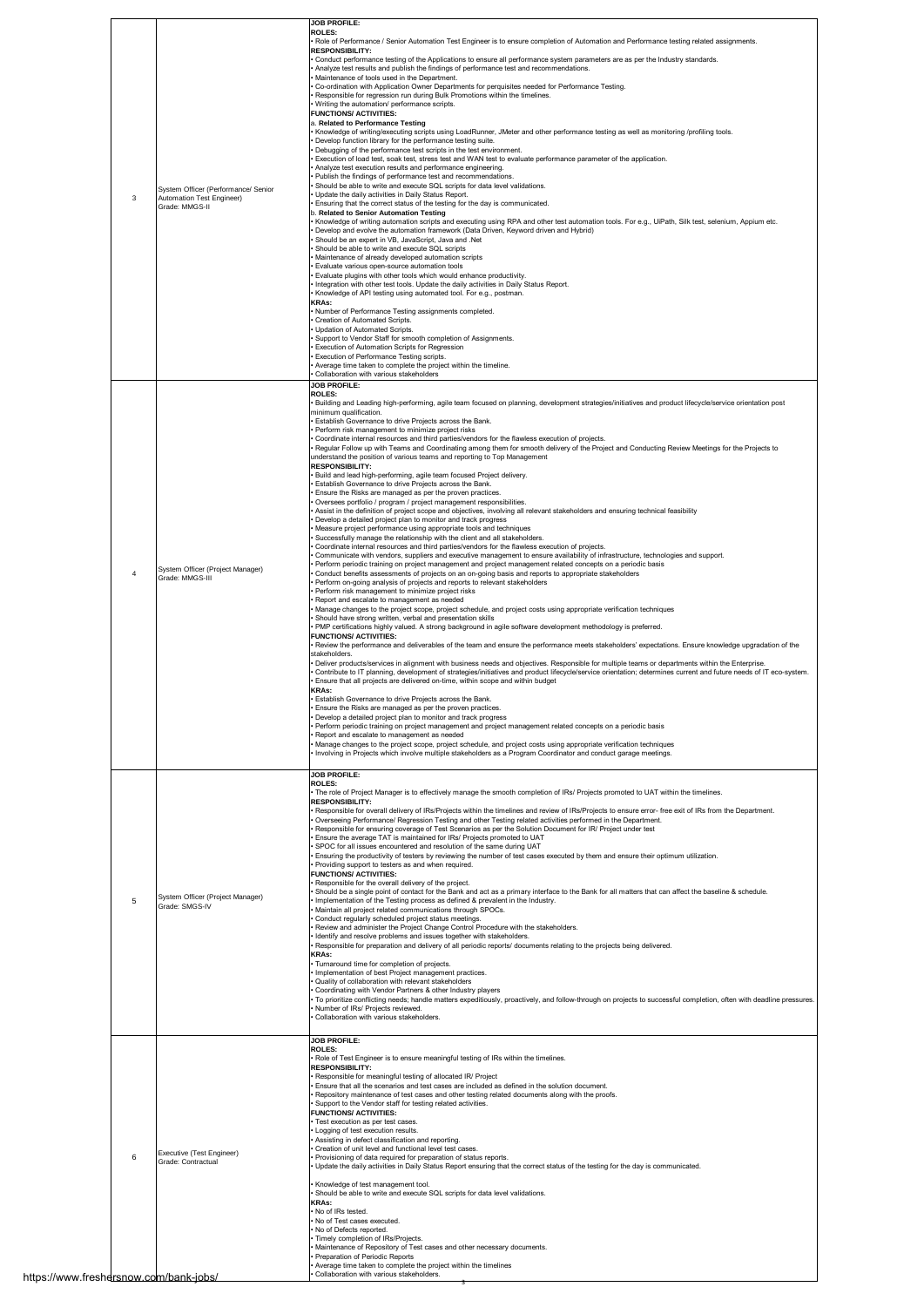|                |                                                                  | <b>JOB PROFILE:</b>                                                                                                                                                                                                                                                                                 |
|----------------|------------------------------------------------------------------|-----------------------------------------------------------------------------------------------------------------------------------------------------------------------------------------------------------------------------------------------------------------------------------------------------|
|                |                                                                  | ROLES:<br>Role of Performance / Senior Automation Test Engineer is to ensure completion of Automation and Performance testing related assignments.                                                                                                                                                  |
|                |                                                                  | <b>RESPONSIBILITY:</b><br>Conduct performance testing of the Applications to ensure all performance system parameters are as per the Industry standards.                                                                                                                                            |
|                |                                                                  | Analyze test results and publish the findings of performance test and recommendations.<br>Maintenance of tools used in the Department.                                                                                                                                                              |
|                |                                                                  | Co-ordination with Application Owner Departments for perquisites needed for Performance Testing.<br>Responsible for regression run during Bulk Promotions within the timelines.                                                                                                                     |
|                |                                                                  | Writing the automation/ performance scripts.<br><b>FUNCTIONS/ ACTIVITIES:</b>                                                                                                                                                                                                                       |
|                |                                                                  | a. Related to Performance Testing<br>Knowledge of writing/executing scripts using LoadRunner, JMeter and other performance testing as well as monitoring /profiling tools.                                                                                                                          |
|                |                                                                  | Develop function library for the performance testing suite.<br>Debugging of the performance test scripts in the test environment.                                                                                                                                                                   |
|                |                                                                  | Execution of load test, soak test, stress test and WAN test to evaluate performance parameter of the application.<br>Analyze test execution results and performance engineering.                                                                                                                    |
|                |                                                                  | Publish the findings of performance test and recommendations.<br>Should be able to write and execute SQL scripts for data level validations.                                                                                                                                                        |
| 3              | System Officer (Performance/ Senior<br>Automation Test Engineer) | Update the daily activities in Daily Status Report.                                                                                                                                                                                                                                                 |
|                | Grade: MMGS-II                                                   | Ensuring that the correct status of the testing for the day is communicated.<br>b. Related to Senior Automation Testing                                                                                                                                                                             |
|                |                                                                  | Knowledge of writing automation scripts and executing using RPA and other test automation tools. For e.g., UiPath, Silk test, selenium, Appium etc.<br>Develop and evolve the automation framework (Data Driven, Keyword driven and Hybrid)<br>Should be an expert in VB, JavaScript, Java and .Net |
|                |                                                                  | Should be able to write and execute SQL scripts                                                                                                                                                                                                                                                     |
|                |                                                                  | Maintenance of already developed automation scripts<br>Evaluate various open-source automation tools<br>Evaluate plugins with other tools which would enhance productivity.                                                                                                                         |
|                |                                                                  | Integration with other test tools. Update the daily activities in Daily Status Report.<br>Knowledge of API testing using automated tool. For e.g., postman.                                                                                                                                         |
|                |                                                                  | <b>KRAs:</b><br>Number of Performance Testing assignments completed.                                                                                                                                                                                                                                |
|                |                                                                  | Creation of Automated Scripts.<br>Updation of Automated Scripts.                                                                                                                                                                                                                                    |
|                |                                                                  | Support to Vendor Staff for smooth completion of Assignments.                                                                                                                                                                                                                                       |
|                |                                                                  | Execution of Automation Scripts for Regression<br>Execution of Performance Testing scripts.                                                                                                                                                                                                         |
|                |                                                                  | Average time taken to complete the project within the timeline.<br>Collaboration with various stakeholders                                                                                                                                                                                          |
|                |                                                                  | <b>JOB PROFILE:</b><br><b>ROLES:</b>                                                                                                                                                                                                                                                                |
|                |                                                                  | Building and Leading high-performing, agile team focused on planning, development strategies/initiatives and product lifecycle/service orientation post<br>minimum qualification.                                                                                                                   |
|                |                                                                  | Establish Governance to drive Projects across the Bank.<br>Perform risk management to minimize project risks                                                                                                                                                                                        |
|                |                                                                  | Coordinate internal resources and third parties/vendors for the flawless execution of projects.<br>Regular Follow up with Teams and Coordinating among them for smooth delivery of the Project and Conducting Review Meetings for the Projects to                                                   |
|                |                                                                  | understand the position of various teams and reporting to Top Management<br><b>RESPONSIBILITY:</b>                                                                                                                                                                                                  |
|                |                                                                  | Build and lead high-performing, agile team focused Project delivery.<br>Establish Governance to drive Projects across the Bank.                                                                                                                                                                     |
|                |                                                                  | Ensure the Risks are managed as per the proven practices.<br>Oversees portfolio / program / project management responsibilities.                                                                                                                                                                    |
|                | System Officer (Project Manager)<br>Grade: MMGS-III              | Assist in the definition of project scope and objectives, involving all relevant stakeholders and ensuring technical feasibility<br>Develop a detailed project plan to monitor and track progress                                                                                                   |
|                |                                                                  | Measure project performance using appropriate tools and techniques<br>Successfully manage the relationship with the client and all stakeholders.                                                                                                                                                    |
|                |                                                                  | Coordinate internal resources and third parties/vendors for the flawless execution of projects.<br>Communicate with vendors, suppliers and executive management to ensure availability of infrastructure, technologies and support.                                                                 |
| $\overline{4}$ |                                                                  | Perform periodic training on project management and project management related concepts on a periodic basis<br>Conduct benefits assessments of projects on an on-going basis and reports to appropriate stakeholders                                                                                |
|                |                                                                  | Perform on-going analysis of projects and reports to relevant stakeholders<br>Perform risk management to minimize project risks                                                                                                                                                                     |
|                |                                                                  | Report and escalate to management as needed<br>Manage changes to the project scope, project schedule, and project costs using appropriate verification techniques                                                                                                                                   |
|                |                                                                  | Should have strong written, verbal and presentation skills<br>PMP certifications highly valued. A strong background in agile software development methodology is preferred.                                                                                                                         |
|                |                                                                  | <b>FUNCTIONS/ ACTIVITIES:</b><br>Review the performance and deliverables of the team and ensure the performance meets stakeholders' expectations. Ensure knowledge upgradation of the                                                                                                               |
|                |                                                                  | stakeholders.<br>Deliver products/services in alignment with business needs and objectives. Responsible for multiple teams or departments within the Enterprise.                                                                                                                                    |
|                |                                                                  | Contribute to IT planning, development of strategies/initiatives and product lifecycle/service orientation; determines current and future needs of IT eco-system.<br>Ensure that all projects are delivered on-time, within scope and within budget                                                 |
|                |                                                                  | KRAs:<br>Establish Governance to drive Projects across the Bank.                                                                                                                                                                                                                                    |
|                |                                                                  | Ensure the Risks are managed as per the proven practices<br>Develop a detailed project plan to monitor and track progress                                                                                                                                                                           |
|                |                                                                  | Perform periodic training on project management and project management related concepts on a periodic basis<br>Report and escalate to management as needed                                                                                                                                          |
|                |                                                                  | Manage changes to the project scope, project schedule, and project costs using appropriate verification techniques<br>Involving in Projects which involve multiple stakeholders as a Program Coordinator and conduct garage meetings.                                                               |
|                |                                                                  |                                                                                                                                                                                                                                                                                                     |
|                |                                                                  | <b>JOB PROFILE:</b><br><b>ROLES:</b><br>. The role of Project Manager is to effectively manage the smooth completion of IRs/ Projects promoted to UAT within the timelines.                                                                                                                         |
|                |                                                                  | <b>RESPONSIBILITY:</b><br>Responsible for overall delivery of IRs/Projects within the timelines and review of IRs/Projects to ensure error- free exit of IRs from the Department.                                                                                                                   |
|                |                                                                  | Overseeing Performance/ Regression Testing and other Testing related activities performed in the Department.<br>Responsible for ensuring coverage of Test Scenarios as per the Solution Document for IR/ Project under test                                                                         |
|                |                                                                  | Ensure the average TAT is maintained for IRs/ Projects promoted to UAT                                                                                                                                                                                                                              |
|                |                                                                  | SPOC for all issues encountered and resolution of the same during UAT<br>Ensuring the productivity of testers by reviewing the number of test cases executed by them and ensure their optimum utilization.<br>Providing support to testers as and when required.                                    |
|                |                                                                  | <b>FUNCTIONS/ ACTIVITIES:</b><br>Responsible for the overall delivery of the project.                                                                                                                                                                                                               |
|                | System Officer (Project Manager)                                 | Should be a single point of contact for the Bank and act as a primary interface to the Bank for all matters that can affect the baseline & schedule.                                                                                                                                                |
| 5              | Grade: SMGS-IV                                                   | Implementation of the Testing process as defined & prevalent in the Industry.<br>Maintain all project related communications through SPOCs.                                                                                                                                                         |
|                |                                                                  | Conduct regularly scheduled project status meetings.<br>Review and administer the Project Change Control Procedure with the stakeholders.                                                                                                                                                           |
|                |                                                                  | Identify and resolve problems and issues together with stakeholders.<br>Responsible for preparation and delivery of all periodic reports/ documents relating to the projects being delivered.                                                                                                       |
|                |                                                                  | <b>KRAs:</b><br>Turnaround time for completion of projects.                                                                                                                                                                                                                                         |
|                |                                                                  | Implementation of best Project management practices.<br>Quality of collaboration with relevant stakeholders                                                                                                                                                                                         |
|                |                                                                  | Coordinating with Vendor Partners & other Industry players<br>To prioritize conflicting needs; handle matters expeditiously, proactively, and follow-through on projects to successful completion, often with deadline pressures.                                                                   |
|                |                                                                  | Number of IRs/ Projects reviewed.<br>Collaboration with various stakeholders.                                                                                                                                                                                                                       |
|                |                                                                  | <b>JOB PROFILE:</b>                                                                                                                                                                                                                                                                                 |
|                |                                                                  | <b>ROLES:</b><br>. Role of Test Engineer is to ensure meaningful testing of IRs within the timelines.                                                                                                                                                                                               |
|                |                                                                  | <b>RESPONSIBILITY:</b><br>Responsible for meaningful testing of allocated IR/ Project                                                                                                                                                                                                               |
|                |                                                                  | Ensure that all the scenarios and test cases are included as defined in the solution document.<br>Repository maintenance of test cases and other testing related documents along with the proofs.                                                                                                   |
|                |                                                                  | Support to the Vendor staff for testing related activities.<br><b>FUNCTIONS/ ACTIVITIES:</b>                                                                                                                                                                                                        |
|                |                                                                  | Test execution as per test cases.<br>Logging of test execution results.                                                                                                                                                                                                                             |
|                | Executive (Test Engineer)                                        | Assisting in defect classification and reporting.<br>Creation of unit level and functional level test cases.                                                                                                                                                                                        |
| 6              | Grade: Contractual                                               | Provisioning of data required for preparation of status reports.<br>Update the daily activities in Daily Status Report ensuring that the correct status of the testing for the day is communicated.                                                                                                 |
|                |                                                                  | Knowledge of test management tool.                                                                                                                                                                                                                                                                  |
|                |                                                                  | Should be able to write and execute SQL scripts for data level validations.<br>KRAs:                                                                                                                                                                                                                |
|                |                                                                  | No of IRs tested.<br>No of Test cases executed.                                                                                                                                                                                                                                                     |
|                |                                                                  | No of Defects reported.<br>Timely completion of IRs/Projects.                                                                                                                                                                                                                                       |
|                |                                                                  | Maintenance of Repository of Test cases and other necessary documents.<br>Preparation of Periodic Reports                                                                                                                                                                                           |
|                | arsnow.com/bank-jobs/                                            | Average time taken to complete the project within the timelines<br>Collaboration with various stakeholders.                                                                                                                                                                                         |

3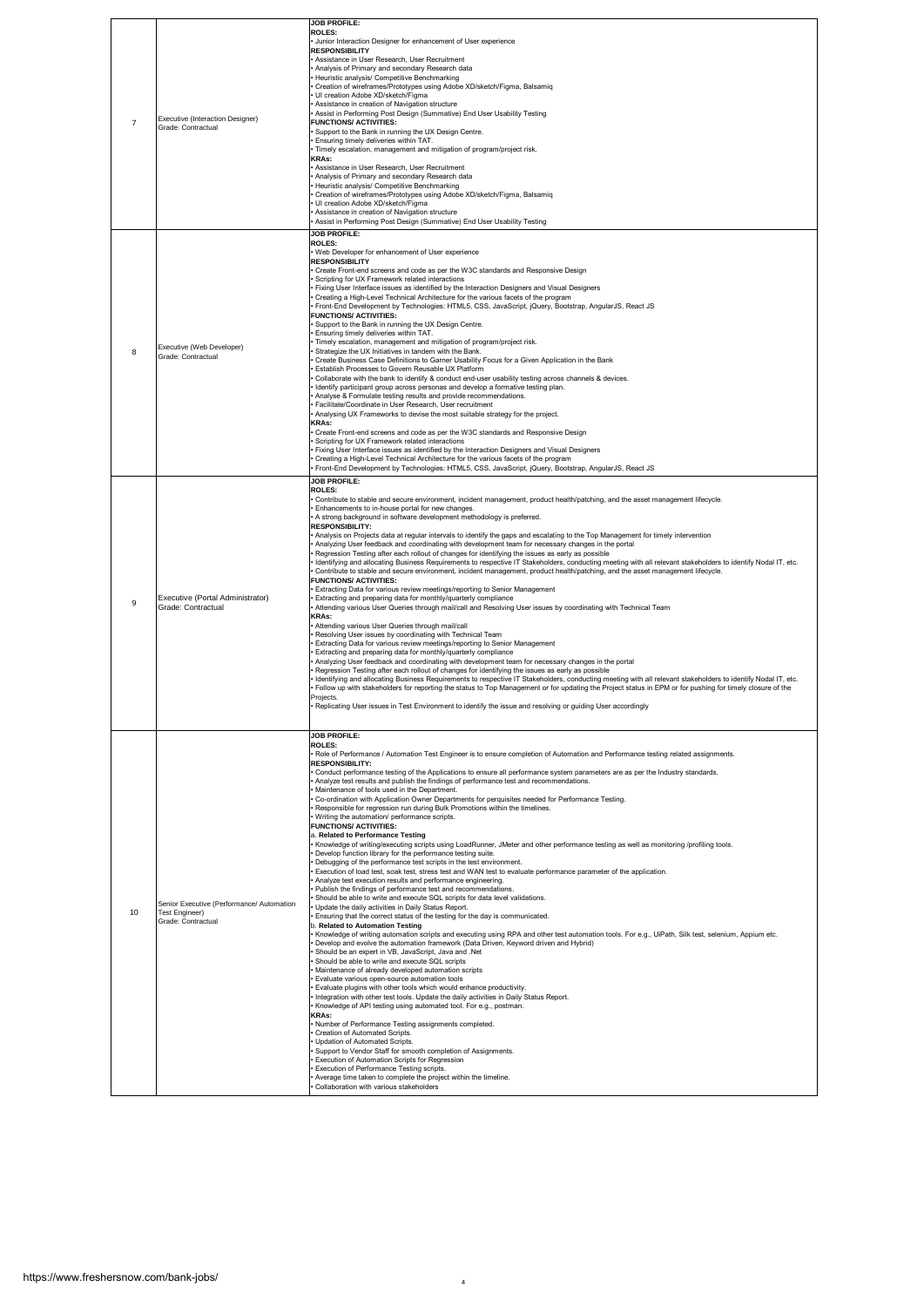| $\overline{7}$ | Executive (Interaction Designer)<br>Grade: Contractual                            | JOB PROFILE:<br>ROLES:<br>Junior Interaction Designer for enhancement of User experience<br><b>RESPONSIBILITY</b><br>Assistance in User Research, User Recruitment<br>Analysis of Primary and secondary Research data<br>Heuristic analysis/ Competitive Benchmarking<br>Creation of wireframes/Prototypes using Adobe XD/sketch/Figma, Balsamiq<br>UI creation Adobe XD/sketch/Figma<br>Assistance in creation of Navigation structure<br>Assist in Performing Post Design (Summative) End User Usability Testing<br><b>FUNCTIONS/ ACTIVITIES:</b><br>Support to the Bank in running the UX Design Centre.<br>Ensuring timely deliveries within TAT.<br>Timely escalation, management and mitigation of program/project risk.<br><b>KRAs:</b><br>Assistance in User Research, User Recruitment<br>Analysis of Primary and secondary Research data<br>Heuristic analysis/ Competitive Benchmarking<br>Creation of wireframes/Prototypes using Adobe XD/sketch/Figma, Balsamiq<br>UI creation Adobe XD/sketch/Figma<br>Assistance in creation of Navigation structure<br>Assist in Performing Post Design (Summative) End User Usability Testing                                                                                                                                                                                                                                                                                                                                                                                                                                                                                                                                                                                                                                                                                                                                                                                                                                                                                                                                                                                                                                                                                                                                                                                                                                                                                                                                                                                                                                                                                                                                                           |
|----------------|-----------------------------------------------------------------------------------|-----------------------------------------------------------------------------------------------------------------------------------------------------------------------------------------------------------------------------------------------------------------------------------------------------------------------------------------------------------------------------------------------------------------------------------------------------------------------------------------------------------------------------------------------------------------------------------------------------------------------------------------------------------------------------------------------------------------------------------------------------------------------------------------------------------------------------------------------------------------------------------------------------------------------------------------------------------------------------------------------------------------------------------------------------------------------------------------------------------------------------------------------------------------------------------------------------------------------------------------------------------------------------------------------------------------------------------------------------------------------------------------------------------------------------------------------------------------------------------------------------------------------------------------------------------------------------------------------------------------------------------------------------------------------------------------------------------------------------------------------------------------------------------------------------------------------------------------------------------------------------------------------------------------------------------------------------------------------------------------------------------------------------------------------------------------------------------------------------------------------------------------------------------------------------------------------------------------------------------------------------------------------------------------------------------------------------------------------------------------------------------------------------------------------------------------------------------------------------------------------------------------------------------------------------------------------------------------------------------------------------------------------------------------------------------------------------------|
| 8              | Executive (Web Developer)<br>Grade: Contractual                                   | <b>JOB PROFILE:</b><br>ROLES:<br>Web Developer for enhancement of User experience<br><b>RESPONSIBILITY</b><br>Create Front-end screens and code as per the W3C standards and Responsive Design<br>Scripting for UX Framework related interactions<br>Fixing User Interface issues as identified by the Interaction Designers and Visual Designers<br>Creating a High-Level Technical Architecture for the various facets of the program<br>Front-End Development by Technologies: HTML5, CSS, JavaScript, jQuery, Bootstrap, AngularJS, React JS<br><b>FUNCTIONS/ ACTIVITIES:</b><br>Support to the Bank in running the UX Design Centre.<br>Ensuring timely deliveries within TAT.<br>Timely escalation, management and mitigation of program/project risk.<br>Strategize the UX Initiatives in tandem with the Bank.<br>Create Business Case Definitions to Garner Usability Focus for a Given Application in the Bank<br>Establish Processes to Govern Reusable UX Platform<br>Collaborate with the bank to identify & conduct end-user usability testing across channels & devices.<br>Identify participant group across personas and develop a formative testing plan.<br>Analyse & Formulate testing results and provide recommendations.<br>Facilitate/Coordinate in User Research, User recruitment<br>Analysing UX Frameworks to devise the most suitable strategy for the project.<br><b>KRAs:</b><br>Create Front-end screens and code as per the W3C standards and Responsive Design<br>Scripting for UX Framework related interactions<br>Fixing User Interface issues as identified by the Interaction Designers and Visual Designers<br>Creating a High-Level Technical Architecture for the various facets of the program<br>Front-End Development by Technologies: HTML5, CSS, JavaScript, jQuery, Bootstrap, AngularJS, React JS                                                                                                                                                                                                                                                                                                                                                                                                                                                                                                                                                                                                                                                                                                                                                                                                                                                        |
| 9              | Executive (Portal Administrator)<br>Grade: Contractual                            | <b>JOB PROFILE:</b><br><b>ROLES:</b><br>Contribute to stable and secure environment, incident management, product health/patching, and the asset management lifecycle.<br>Enhancements to in-house portal for new changes.<br>A strong background in software development methodology is preferred.<br><b>RESPONSIBILITY:</b><br>Analysis on Projects data at regular intervals to identify the gaps and escalating to the Top Management for timely intervention<br>Analyzing User feedback and coordinating with development team for necessary changes in the portal<br>Regression Testing after each rollout of changes for identifying the issues as early as possible<br>Identifying and allocating Business Requirements to respective IT Stakeholders, conducting meeting with all relevant stakeholders to identify Nodal IT, etc.<br>Contribute to stable and secure environment, incident management, product health/patching, and the asset management lifecycle.<br><b>FUNCTIONS/ ACTIVITIES:</b><br>Extracting Data for various review meetings/reporting to Senior Management<br>Extracting and preparing data for monthly/quarterly compliance<br>Attending various User Queries through mail/call and Resolving User issues by coordinating with Technical Team<br><b>KRAs:</b><br>Attending various User Queries through mail/call<br>Resolving User issues by coordinating with Technical Team<br>Extracting Data for various review meetings/reporting to Senior Management<br>Extracting and preparing data for monthly/quarterly compliance<br>Analyzing User feedback and coordinating with development team for necessary changes in the portal<br>Regression Testing after each rollout of changes for identifying the issues as early as possible<br>Identifying and allocating Business Requirements to respective IT Stakeholders, conducting meeting with all relevant stakeholders to identify Nodal IT, etc.<br>Follow up with stakeholders for reporting the status to Top Management or for updating the Project status in EPM or for pushing for timely closure of the<br>Projects.<br>Replicating User issues in Test Environment to identify the issue and resolving or guiding User accordingly                                                                                                                                                                                                                                                                                                                                                                                                                                                                      |
| 10             | Senior Executive (Performance/ Automation<br>Test Engineer)<br>Grade: Contractual | JOB PROFILE:<br>ROLES:<br>Role of Performance / Automation Test Engineer is to ensure completion of Automation and Performance testing related assignments.<br><b>RESPONSIBILITY:</b><br>Conduct performance testing of the Applications to ensure all performance system parameters are as per the Industry standards.<br>Analyze test results and publish the findings of performance test and recommendations.<br>Maintenance of tools used in the Department.<br>Co-ordination with Application Owner Departments for perquisites needed for Performance Testing.<br>Responsible for regression run during Bulk Promotions within the timelines.<br>Writing the automation/ performance scripts.<br><b>FUNCTIONS/ ACTIVITIES:</b><br>a. Related to Performance Testing<br>Knowledge of writing/executing scripts using LoadRunner, JMeter and other performance testing as well as monitoring /profiling tools.<br>Develop function library for the performance testing suite.<br>Debugging of the performance test scripts in the test environment.<br>Execution of load test, soak test, stress test and WAN test to evaluate performance parameter of the application.<br>Analyze test execution results and performance engineering.<br>Publish the findings of performance test and recommendations.<br>Should be able to write and execute SQL scripts for data level validations.<br>Update the daily activities in Daily Status Report.<br>Ensuring that the correct status of the testing for the day is communicated.<br>b. Related to Automation Testing<br>Knowledge of writing automation scripts and executing using RPA and other test automation tools. For e.g., UiPath, Silk test, selenium, Appium etc.<br>Develop and evolve the automation framework (Data Driven, Keyword driven and Hybrid)<br>Should be an expert in VB, JavaScript, Java and .Net<br>Should be able to write and execute SQL scripts<br>Maintenance of already developed automation scripts<br>Evaluate various open-source automation tools<br>Evaluate plugins with other tools which would enhance productivity.<br>Integration with other test tools. Update the daily activities in Daily Status Report.<br>Knowledge of API testing using automated tool. For e.g., postman.<br><b>KRAs:</b><br>Number of Performance Testing assignments completed.<br>Creation of Automated Scripts.<br>Updation of Automated Scripts.<br>Support to Vendor Staff for smooth completion of Assignments.<br>Execution of Automation Scripts for Regression<br>Execution of Performance Testing scripts.<br>Average time taken to complete the project within the timeline.<br>Collaboration with various stakeholders |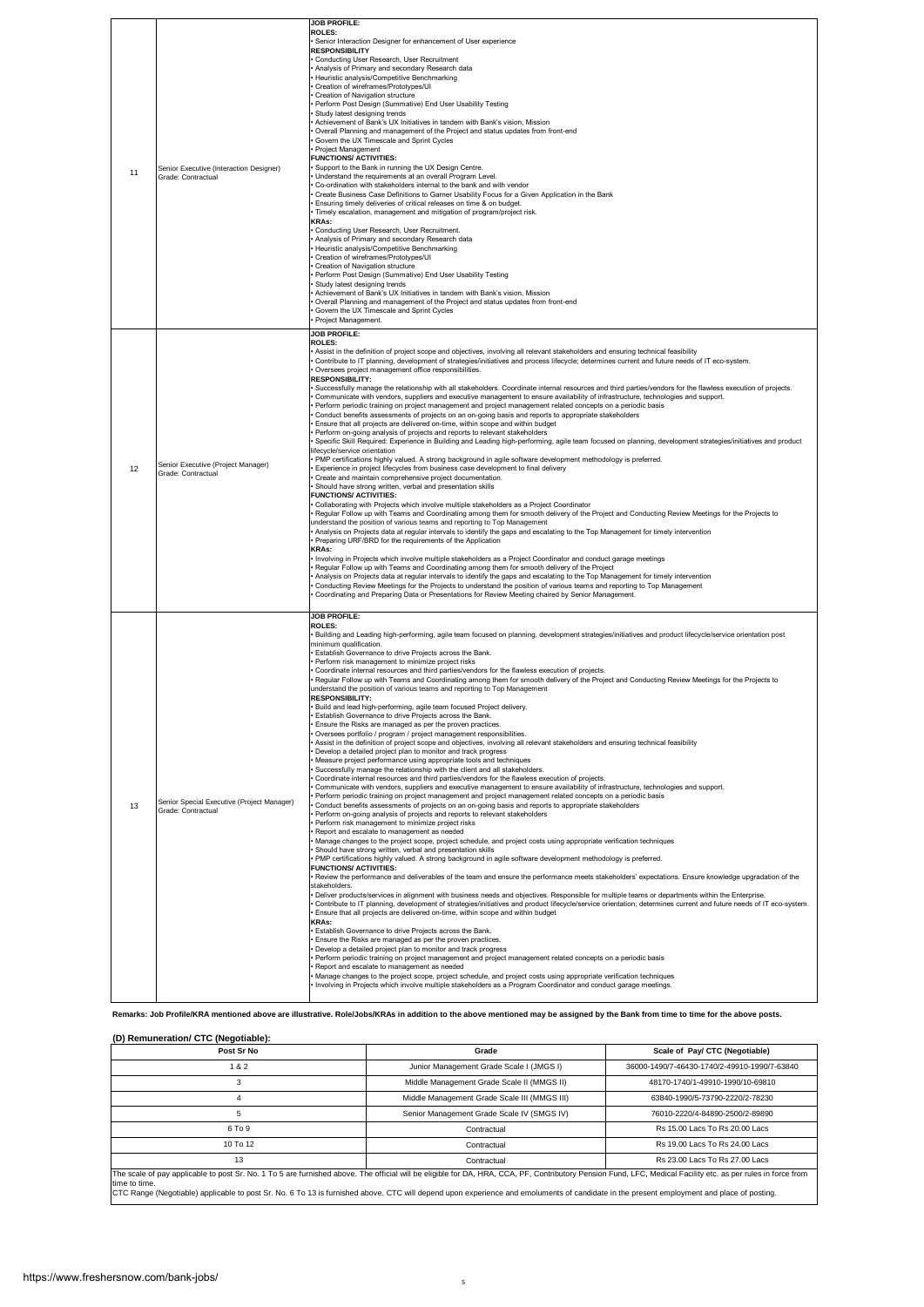|    |                                                                  | <b>JOB PROFILE:</b>                                                                                                                                                                                                                                                                                                                                                                                                                                                                                                                                                                                                                                                                                                                                                                                                                                                                                                                                                                                                                                                                                                                                                                                                                                                                                                                                                                                                                                                                                                                                                                                                                                                                                                                                                                                                                                                                                                                                                                                                                                                                                                                                                                                                                                                                                                                                                                                                                                                                                                                                                                                                                                                                                                                                                                                                                                                                                                                                                                                                                                                                                                                                                                                                                                                                                                                                                                                                                                                                                                                     |
|----|------------------------------------------------------------------|-----------------------------------------------------------------------------------------------------------------------------------------------------------------------------------------------------------------------------------------------------------------------------------------------------------------------------------------------------------------------------------------------------------------------------------------------------------------------------------------------------------------------------------------------------------------------------------------------------------------------------------------------------------------------------------------------------------------------------------------------------------------------------------------------------------------------------------------------------------------------------------------------------------------------------------------------------------------------------------------------------------------------------------------------------------------------------------------------------------------------------------------------------------------------------------------------------------------------------------------------------------------------------------------------------------------------------------------------------------------------------------------------------------------------------------------------------------------------------------------------------------------------------------------------------------------------------------------------------------------------------------------------------------------------------------------------------------------------------------------------------------------------------------------------------------------------------------------------------------------------------------------------------------------------------------------------------------------------------------------------------------------------------------------------------------------------------------------------------------------------------------------------------------------------------------------------------------------------------------------------------------------------------------------------------------------------------------------------------------------------------------------------------------------------------------------------------------------------------------------------------------------------------------------------------------------------------------------------------------------------------------------------------------------------------------------------------------------------------------------------------------------------------------------------------------------------------------------------------------------------------------------------------------------------------------------------------------------------------------------------------------------------------------------------------------------------------------------------------------------------------------------------------------------------------------------------------------------------------------------------------------------------------------------------------------------------------------------------------------------------------------------------------------------------------------------------------------------------------------------------------------------------------------------|
| 11 | Senior Executive (Interaction Designer)<br>Grade: Contractual    | <b>ROLES:</b><br>Senior Interaction Designer for enhancement of User experience<br><b>RESPONSIBILITY</b><br>Conducting User Research, User Recruitment<br>Analysis of Primary and secondary Research data<br>Heuristic analysis/Competitive Benchmarking<br>Creation of wireframes/Prototypes/UI<br>Creation of Navigation structure<br>Perform Post Design (Summative) End User Usability Testing<br>Study latest designing trends<br>Achievement of Bank's UX Initiatives in tandem with Bank's vision, Mission<br>Overall Planning and management of the Project and status updates from front-end<br>Govern the UX Timescale and Sprint Cycles<br>Project Management<br><b>FUNCTIONS/ ACTIVITIES:</b><br>Support to the Bank in running the UX Design Centre.<br>Understand the requirements at an overall Program Level.<br>Co-ordination with stakeholders internal to the bank and with vendor<br>Create Business Case Definitions to Garner Usability Focus for a Given Application in the Bank<br>Ensuring timely deliveries of critical releases on time & on budget.<br>Timely escalation, management and mitigation of program/project risk.<br><b>KRAs:</b><br>Conducting User Research, User Recruitment.<br>. Analysis of Primary and secondary Research data<br>· Heuristic analysis/Competitive Benchmarking<br>· Creation of wireframes/Prototypes/UI<br>Creation of Navigation structure<br>Perform Post Design (Summative) End User Usability Testing<br>Study latest designing trends<br>Achievement of Bank's UX Initiatives in tandem with Bank's vision, Mission<br>Overall Planning and management of the Project and status updates from front-end<br>Govern the UX Timescale and Sprint Cycles<br>Project Management.                                                                                                                                                                                                                                                                                                                                                                                                                                                                                                                                                                                                                                                                                                                                                                                                                                                                                                                                                                                                                                                                                                                                                                                                                                                                                                                                                                                                                                                                                                                                                                                                                                                                                                                                                                                        |
| 12 | Senior Executive (Project Manager)<br>Grade: Contractual         | <b>JOB PROFILE:</b><br>ROLES:<br>Assist in the definition of project scope and objectives, involving all relevant stakeholders and ensuring technical feasibility<br>Contribute to IT planning, development of strategies/initiatives and process lifecycle; determines current and future needs of IT eco-system.<br>Oversees project management office responsibilities.<br><b>RESPONSIBILITY:</b><br>Successfully manage the relationship with all stakeholders. Coordinate internal resources and third parties/vendors for the flawless execution of projects.<br>Communicate with vendors, suppliers and executive management to ensure availability of infrastructure, technologies and support.<br>· Perform periodic training on project management and project management related concepts on a periodic basis<br>Conduct benefits assessments of projects on an on-going basis and reports to appropriate stakeholders<br>Ensure that all projects are delivered on-time, within scope and within budget<br>Perform on-going analysis of projects and reports to relevant stakeholders<br>Specific Skill Required: Experience in Building and Leading high-performing, agile team focused on planning, development strategies/initiatives and product<br>lifecycle/service orientation<br>PMP certifications highly valued. A strong background in agile software development methodology is preferred.<br>Experience in project lifecycles from business case development to final delivery<br>Create and maintain comprehensive project documentation.<br>Should have strong written, verbal and presentation skills<br><b>FUNCTIONS/ ACTIVITIES:</b><br>Collaborating with Projects which involve multiple stakeholders as a Project Coordinator<br>Regular Follow up with Teams and Coordinating among them for smooth delivery of the Project and Conducting Review Meetings for the Projects to<br>understand the position of various teams and reporting to Top Management<br>Analysis on Projects data at regular intervals to identify the gaps and escalating to the Top Management for timely intervention<br>Preparing URF/BRD for the requirements of the Application<br>KRAs:<br>· Involving in Projects which involve multiple stakeholders as a Project Coordinator and conduct garage meetings<br>Regular Follow up with Teams and Coordinating among them for smooth delivery of the Project<br>Analysis on Projects data at regular intervals to identify the gaps and escalating to the Top Management for timely intervention<br>Conducting Review Meetings for the Projects to understand the position of various teams and reporting to Top Management<br>Coordinating and Preparing Data or Presentations for Review Meeting chaired by Senior Management.                                                                                                                                                                                                                                                                                                                                                                                                                                                                                                                                                                                                                                                                                                                                           |
| 13 | Senior Special Executive (Project Manager)<br>Grade: Contractual | <b>JOB PROFILE:</b><br><b>ROLES:</b><br>Building and Leading high-performing, agile team focused on planning, development strategies/initiatives and product lifecycle/service orientation post<br>minimum qualification.<br>Establish Governance to drive Projects across the Bank.<br>· Perform risk management to minimize project risks<br>Coordinate internal resources and third parties/vendors for the flawless execution of projects.<br>Regular Follow up with Teams and Coordinating among them for smooth delivery of the Project and Conducting Review Meetings for the Projects to<br>understand the position of various teams and reporting to Top Management<br><b>RESPONSIBILITY:</b><br>· Build and lead high-performing, agile team focused Project delivery<br>Establish Governance to drive Projects across the Bank.<br>Ensure the Risks are managed as per the proven practices.<br>Oversees portfolio / program / project management responsibilities.<br>Assist in the definition of project scope and objectives, involving all relevant stakeholders and ensuring technical feasibility<br>Develop a detailed project plan to monitor and track progress<br>Measure project performance using appropriate tools and techniques<br>Successfully manage the relationship with the client and all stakeholders.<br>Coordinate internal resources and third parties/vendors for the flawless execution of projects.<br>Communicate with vendors, suppliers and executive management to ensure availability of infrastructure, technologies and support.<br>· Perform periodic training on project management and project management related concepts on a periodic basis<br>Conduct benefits assessments of projects on an on-going basis and reports to appropriate stakeholders<br>Perform on-going analysis of projects and reports to relevant stakeholders<br>Perform risk management to minimize project risks<br>Report and escalate to management as needed<br>Manage changes to the project scope, project schedule, and project costs using appropriate verification techniques<br>Should have strong written, verbal and presentation skills<br>PMP certifications highly valued. A strong background in agile software development methodology is preferred.<br><b>FUNCTIONS/ ACTIVITIES:</b><br>Review the performance and deliverables of the team and ensure the performance meets stakeholders' expectations. Ensure knowledge upgradation of the<br>stakeholders.<br>Deliver products/services in alignment with business needs and objectives. Responsible for multiple teams or departments within the Enterprise.<br>Contribute to IT planning, development of strategies/initiatives and product lifecycle/service orientation; determines current and future needs of IT eco-system.<br>· Ensure that all projects are delivered on-time, within scope and within budget<br><b>KRAs:</b><br>· Establish Governance to drive Projects across the Bank.<br>Ensure the Risks are managed as per the proven practices.<br>Develop a detailed project plan to monitor and track progress<br>Perform periodic training on project management and project management related concepts on a periodic basis<br>Report and escalate to management as needed<br>Manage changes to the project scope, project schedule, and project costs using appropriate verification techniques<br>Involving in Projects which involve multiple stakeholders as a Program Coordinator and conduct garage meetings. |

**Remarks: Job Profile/KRA mentioned above are illustrative. Role/Jobs/KRAs in addition to the above mentioned may be assigned by the Bank from time to time for the above posts.**

**(D) Remuneration/ CTC (Negotiable):**

| Post Sr No                                                                                                                                                                                                                                                                                                                                                                                                                 | Grade                                        | Scale of Pay/ CTC (Negotiable)               |  |  |
|----------------------------------------------------------------------------------------------------------------------------------------------------------------------------------------------------------------------------------------------------------------------------------------------------------------------------------------------------------------------------------------------------------------------------|----------------------------------------------|----------------------------------------------|--|--|
| 182                                                                                                                                                                                                                                                                                                                                                                                                                        | Junior Management Grade Scale I (JMGS I)     | 36000-1490/7-46430-1740/2-49910-1990/7-63840 |  |  |
| з                                                                                                                                                                                                                                                                                                                                                                                                                          | Middle Management Grade Scale II (MMGS II)   | 48170-1740/1-49910-1990/10-69810             |  |  |
|                                                                                                                                                                                                                                                                                                                                                                                                                            | Middle Management Grade Scale III (MMGS III) | 63840-1990/5-73790-2220/2-78230              |  |  |
|                                                                                                                                                                                                                                                                                                                                                                                                                            | Senior Management Grade Scale IV (SMGS IV)   | 76010-2220/4-84890-2500/2-89890              |  |  |
| 6 To 9                                                                                                                                                                                                                                                                                                                                                                                                                     | Contractual                                  | Rs 15.00 Lacs To Rs 20.00 Lacs               |  |  |
| $10$ To $12$                                                                                                                                                                                                                                                                                                                                                                                                               | Contractual                                  | Rs 19.00 Lacs To Rs 24.00 Lacs               |  |  |
| 13                                                                                                                                                                                                                                                                                                                                                                                                                         | Contractual                                  | Rs 23.00 Lacs To Rs 27.00 Lacs               |  |  |
| The scale of pay applicable to post Sr. No. 1 To 5 are furnished above. The official will be eligible for DA, HRA, CCA, PF, Contributory Pension Fund, LFC, Medical Facility etc. as per rules in force from<br>time to time.<br>CTC Range (Negotiable) applicable to post Sr. No. 6 To 13 is furnished above. CTC will depend upon experience and emoluments of candidate in the present employment and place of posting. |                                              |                                              |  |  |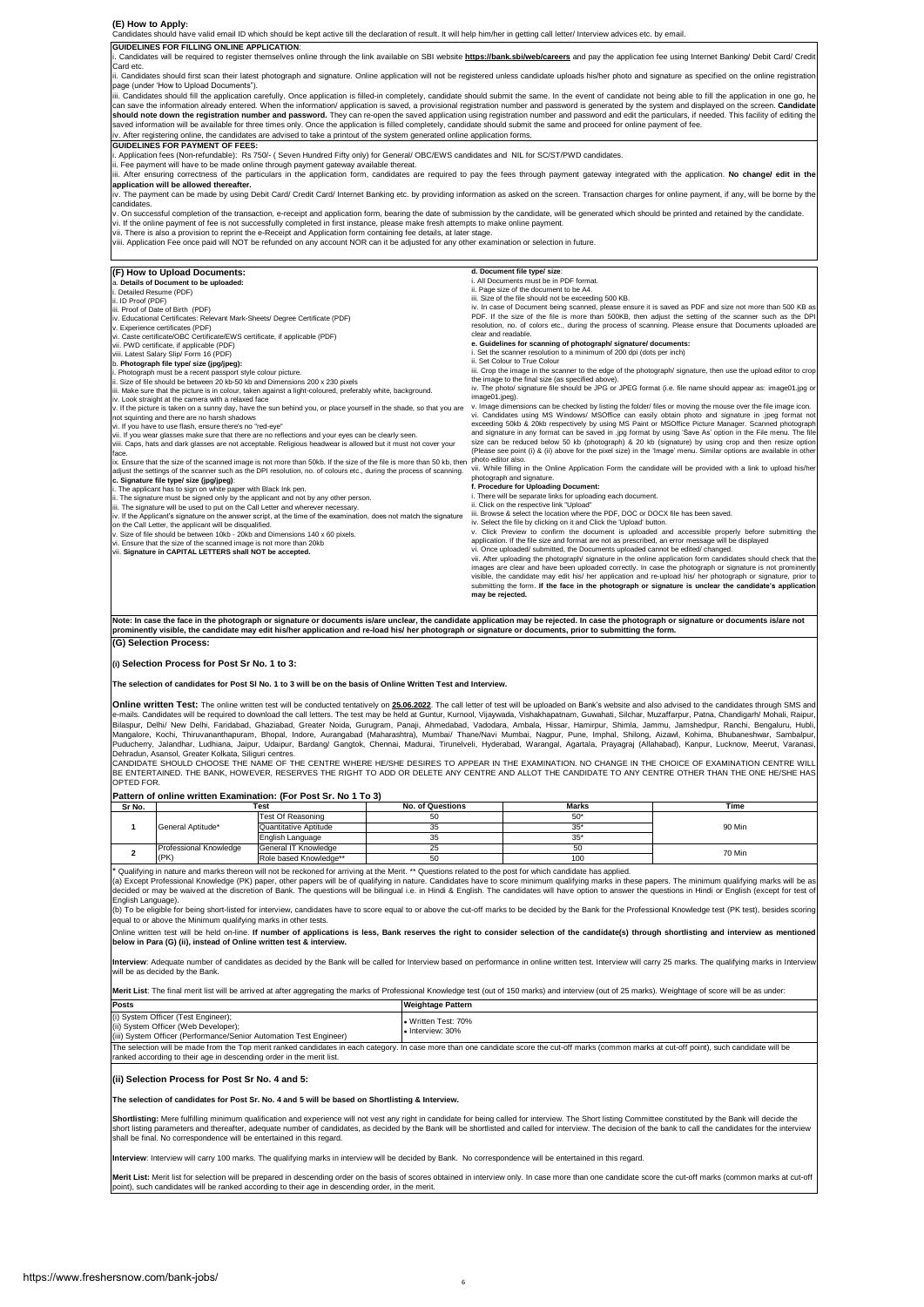**(E) How to Apply:**  Candidates should have valid email ID which should be kept active till the declaration of result. It will help him/her in getting call letter/ Interview advices etc. by email.

**GUIDELINES FOR FILLING ONLINE APPLICATION**:

i. Candidates will be required to register themselves online through the link available on SBI website **https://bank.sbi/web/careers** and pay the application fee using Internet Banking/ Debit Card/ Credit Card etc.

ii. Candidates should first scan their latest photograph and signature. Online application will not be registered unless candidate uploads his/her photo and signature as specified on the online registration

page (under 'How to Upload Documents").<br>iii. Candidates should fill the application carefully. Once application is filled-in completely, candidate should submit the same. In the event of candidate not being able to fill th **should note down the registration number and password.** They can re-open the saved application using registration number and password and edit the particulars, if needed. This facility of editing the<br>saved information wil

#### **GUIDELINES FOR PAYMENT OF FEES:**

i. Application fees (Non-refundable): Rs 750/- ( Seven Hundred Fifty only) for General/ OBC/EWS candidates and NIL for SC/ST/PWD candidates.<br>ii. Fee payment will have to be made online through payment gateway available the

**application will be allowed thereafter.**

-paractive that the made by using Debit Card/ Credit Card/ Internet Banking etc. by providing information as asked on the screen. Transaction charges for online payment, if any, will be borne by th<br>particlates

candidates.<br>v. On successful completion of the transaction, e-receipt and application form, bearing the date of submission by the candidate, will be generated which should be printed and retained by the candidate.<br>vi. If t

| (F) How to Upload Documents:<br>a. Details of Document to be uploaded:<br>i. Detailed Resume (PDF)<br>ii. ID Proof (PDF)<br>iii. Proof of Date of Birth (PDF)<br>iv. Educational Certificates: Relevant Mark-Sheets/ Degree Certificate (PDF)<br>v. Experience certificates (PDF)<br>vi. Caste certificate/OBC Certificate/EWS certificate, if applicable (PDF)<br>vii. PWD certificate, if applicable (PDF)<br>viii. Latest Salary Slip/ Form 16 (PDF)<br>b. Photograph file type/ size (jpg/jpeg):<br>. Photograph must be a recent passport style colour picture.<br>ii. Size of file should be between 20 kb-50 kb and Dimensions 200 x 230 pixels<br>iii. Make sure that the picture is in colour, taken against a light-coloured, preferably white, background.<br>iv. Look straight at the camera with a relaxed face<br>v. If the picture is taken on a sunny day, have the sun behind you, or place yourself in the shade, so that you are<br>not squinting and there are no harsh shadows<br>vi. If you have to use flash, ensure there's no "red-eye"<br>vii. If you wear glasses make sure that there are no reflections and your eyes can be clearly seen.<br>viii. Caps, hats and dark glasses are not acceptable. Religious headwear is allowed but it must not cover your<br>face.<br>ix. Ensure that the size of the scanned image is not more than 50kb. If the size of the file is more than 50 kb, then<br>adjust the settings of the scanner such as the DPI resolution, no. of colours etc., during the process of scanning.<br>c. Signature file type/ size (jpg/jpeg):<br>i. The applicant has to sign on white paper with Black Ink pen.<br>ii. The signature must be signed only by the applicant and not by any other person.<br>iii. The signature will be used to put on the Call Letter and wherever necessary.<br>iv. If the Applicant's signature on the answer script, at the time of the examination, does not match the signature<br>on the Call Letter, the applicant will be disqualified.<br>v. Size of file should be between 10kb - 20kb and Dimensions 140 x 60 pixels.<br>vi. Ensure that the size of the scanned image is not more than 20kb | d. Document file type/ size:<br>i. All Documents must be in PDF format.<br>ii. Page size of the document to be A4.<br>iii. Size of the file should not be exceeding 500 KB.<br>iv. In case of Document being scanned, please ensure it is saved as PDF and size not more than 500 KB as<br>PDF. If the size of the file is more than 500KB, then adjust the setting of the scanner such as the DPI<br>resolution, no. of colors etc., during the process of scanning. Please ensure that Documents uploaded are<br>clear and readable.<br>e. Guidelines for scanning of photograph/ signature/ documents:<br>i. Set the scanner resolution to a minimum of 200 dpi (dots per inch)<br>ii. Set Colour to True Colour<br>iii. Crop the image in the scanner to the edge of the photograph/ signature, then use the upload editor to crop<br>the image to the final size (as specified above).<br>iv. The photo/ signature file should be JPG or JPEG format (i.e. file name should appear as: image01.jpg or<br>image01.jpeg).<br>v. Image dimensions can be checked by listing the folder/ files or moving the mouse over the file image icon.<br>vi. Candidates using MS Windows/ MSOffice can easily obtain photo and signature in .jpeq format not<br>exceeding 50kb & 20kb respectively by using MS Paint or MSOffice Picture Manager. Scanned photograph<br>and signature in any format can be saved in .jpg format by using 'Save As' option in the File menu. The file<br>size can be reduced below 50 kb (photograph) & 20 kb (signature) by using crop and then resize option<br>(Please see point (i) & (ii) above for the pixel size) in the 'Image' menu. Similar options are available in other<br>photo editor also.<br>vii. While filling in the Online Application Form the candidate will be provided with a link to upload his/her<br>photograph and signature.<br>f. Procedure for Uploading Document:<br>i. There will be separate links for uploading each document.<br>ii. Click on the respective link "Upload"<br>iii. Browse & select the location where the PDF, DOC or DOCX file has been saved.<br>iv. Select the file by clicking on it and Click the 'Upload' button.<br>v. Click Preview to confirm the document is uploaded and accessible properly before submitting the<br>application. If the file size and format are not as prescribed, an error message will be displayed<br>vi. Once uploaded/ submitted, the Documents uploaded cannot be edited/ changed. |
|-----------------------------------------------------------------------------------------------------------------------------------------------------------------------------------------------------------------------------------------------------------------------------------------------------------------------------------------------------------------------------------------------------------------------------------------------------------------------------------------------------------------------------------------------------------------------------------------------------------------------------------------------------------------------------------------------------------------------------------------------------------------------------------------------------------------------------------------------------------------------------------------------------------------------------------------------------------------------------------------------------------------------------------------------------------------------------------------------------------------------------------------------------------------------------------------------------------------------------------------------------------------------------------------------------------------------------------------------------------------------------------------------------------------------------------------------------------------------------------------------------------------------------------------------------------------------------------------------------------------------------------------------------------------------------------------------------------------------------------------------------------------------------------------------------------------------------------------------------------------------------------------------------------------------------------------------------------------------------------------------------------------------------------------------------------------------------------------------------------------------------------------------------------------------------------------|---------------------------------------------------------------------------------------------------------------------------------------------------------------------------------------------------------------------------------------------------------------------------------------------------------------------------------------------------------------------------------------------------------------------------------------------------------------------------------------------------------------------------------------------------------------------------------------------------------------------------------------------------------------------------------------------------------------------------------------------------------------------------------------------------------------------------------------------------------------------------------------------------------------------------------------------------------------------------------------------------------------------------------------------------------------------------------------------------------------------------------------------------------------------------------------------------------------------------------------------------------------------------------------------------------------------------------------------------------------------------------------------------------------------------------------------------------------------------------------------------------------------------------------------------------------------------------------------------------------------------------------------------------------------------------------------------------------------------------------------------------------------------------------------------------------------------------------------------------------------------------------------------------------------------------------------------------------------------------------------------------------------------------------------------------------------------------------------------------------------------------------------------------------------------------------------------------------------------------------------------------------------------------------------------------------------------------------------------------------------------------------------------------------------------------------------------------------------------------------------------|
| vii. Signature in CAPITAL LETTERS shall NOT be accepted.                                                                                                                                                                                                                                                                                                                                                                                                                                                                                                                                                                                                                                                                                                                                                                                                                                                                                                                                                                                                                                                                                                                                                                                                                                                                                                                                                                                                                                                                                                                                                                                                                                                                                                                                                                                                                                                                                                                                                                                                                                                                                                                                | vii. After uploading the photograph/ signature in the online application form candidates should check that the<br>images are clear and have been uploaded correctly. In case the photograph or signature is not prominently                                                                                                                                                                                                                                                                                                                                                                                                                                                                                                                                                                                                                                                                                                                                                                                                                                                                                                                                                                                                                                                                                                                                                                                                                                                                                                                                                                                                                                                                                                                                                                                                                                                                                                                                                                                                                                                                                                                                                                                                                                                                                                                                                                                                                                                                       |
|                                                                                                                                                                                                                                                                                                                                                                                                                                                                                                                                                                                                                                                                                                                                                                                                                                                                                                                                                                                                                                                                                                                                                                                                                                                                                                                                                                                                                                                                                                                                                                                                                                                                                                                                                                                                                                                                                                                                                                                                                                                                                                                                                                                         | visible, the candidate may edit his/ her application and re-upload his/ her photograph or signature, prior to<br>submitting the form. If the face in the photograph or signature is unclear the candidate's application<br>may be rejected.                                                                                                                                                                                                                                                                                                                                                                                                                                                                                                                                                                                                                                                                                                                                                                                                                                                                                                                                                                                                                                                                                                                                                                                                                                                                                                                                                                                                                                                                                                                                                                                                                                                                                                                                                                                                                                                                                                                                                                                                                                                                                                                                                                                                                                                       |

**(G) Selection Process: Note: In case the face in the photograph** or signature or documents is/are unclear, the candidate application may be rejected. In case the photograph or signature or documents is/are not<br>prominently visible, the candidate **prominently visible, the candidate may edit his/her application and re-load his/ her photograph or signature or docun** 

#### **(i) Selection Process for Post Sr No. 1 to 3:**

**The selection of candidates for Post Sl No. 1 to 3 will be on the basis of Online Written Test and Interview.** 

Online written Test: The online written test will be conducted tentatively on 25.06.2022. The call letter of test will be uploaded on Bank's website and also advised to the candidates through SMS and e-mails. Candidates will be required to download the call letters. The test may be held at Guntur, Kurnool, Vijaywada, Vishakhapatnam, Guwahati, Silchar, Muzaffarpur, Patna, Chandigarh/ Mohali, Raipur<br>Bilaspur, Delhi/ New Mangalore, Kochi, Thiruvananthapuram, Bhopal, Indore, Aurangabad (Maharashtra), Mumbai/ Thane/Navi Mumbai, Nagpur, Pune, Imphal, Shilong, Aizawl, Kohima, Bhubaneshwar, Sambalpur,<br>Puducherry, Jalandhar, Ludhiana, Jalipur Jo

BE ENTERTAINED. THE BANK, HOWEVER, RESERVES THE RIGHT TO ADD OR DELETE ANY CENTRE AND ALLOT THE CANDIDATE TO ANY CENTRE OTHER THAN THE ONE HE/SHE HAS OPTED FOR.

### **Pattern of online written Examination: (For Post Sr. No 1 To 3)**

| Sr No. | Test                   |                        | <b>No. of Questions</b> | <b>Marks</b>         | Time   |
|--------|------------------------|------------------------|-------------------------|----------------------|--------|
|        |                        | Test Of Reasoning      | 50                      | 50 <sup>*</sup><br>v |        |
|        | General Aptitude*      | Quantitative Aptitude  | 35                      | 35                   | 90 Min |
|        |                        | English Language       | 35                      | 35'                  |        |
|        | Professional Knowledge | General IT Knowledge   | 25                      | 50                   | 70 Min |
|        | (PK)                   | Role based Knowledge** | 50                      | 100                  |        |

alifying in nature and marks thereon will not be reckoned for arriving at the Merit. \*\* Questions related to the post for which candidate has applied.

(a) Except Professional Knowledge (PK) paper, other papers will be of qualifying in nature. Candidates have to score minimum qualifying marks in these papers. The minimum qualifying marks will be as<br>decided or may be waive

English Language).<br>(b) To be eligible for being short-listed for interview, candidates have to score equal to or above the cut-off marks to be decided by the Bank for the Professional Knowledge test (PK test), besides scor

Online written test will be held on-line. If number of applications is less, Bank reserves the right to consider selection of the candidate(s) through shortlisting and interview as mentioned<br>below in Para (G) (ii), instead

Interview: Adequate number of candidates as decided by the Bank will be called for Interview based on performance in online written test. Interview will carry 25 marks. The qualifying marks in Interview will be as decided by the Bank.

**Merit List**: The final merit list will be arrived at after aggregating the marks of Professional Knowledge test (out of 150 marks) and interview (out of 25 marks). Weightage of score will be as under:

| Posts                                                                                                                                             | Weightage Pattern                        |
|---------------------------------------------------------------------------------------------------------------------------------------------------|------------------------------------------|
| (i) System Officer (Test Engineer);<br>(ii) System Officer (Web Developer);<br>(iii) System Officer (Performance/Senior Automation Test Engineer) | . Written Test: 70%<br>I. Interview: 30% |

The selection will be made from the Top merit ranked candidates in each category. In case more than one candidate score the cut-off marks (common marks at cut-off point), such candidate will be anked according to their age in descending order in the merit list.

### **(ii) Selection Process for Post Sr No. 4 and 5:**

**The selection of candidates for Post Sr. No. 4 and 5 will be based on Shortlisting & Interview.** 

Shortlisting: Mere fulfilling minimum qualification and experience will not vest any right in candidate for being called for interview. The Short listing Committee constituted by the Bank will decide the<br>short listing para shall be final. No correspondence will be entertained in this regard.

**Interview**: Interview will carry 100 marks. The qualifying marks in interview will be decided by Bank. No correspondence will be entertained in this regard.

**Merit List:** Merit list for selection will be prepared in descending order on the basis of scores obtained in interview only. In case more than one candidate score the cut-off marks (common marks at cut-off point), such candidates will be ranked according to their age in descending order, in the merit.